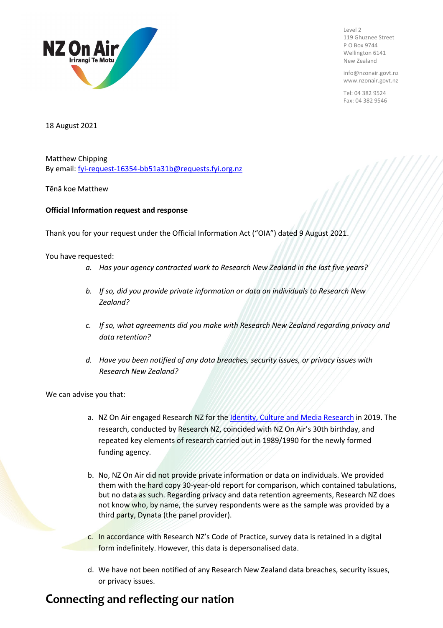

Level 2 119 Ghuznee Street P O Box 9744 Wellington 6141 New Zealand

info@nzonair.govt.nz www.nzonair.govt.nz

Tel: 04 382 9524 Fax: 04 382 9546

18 August 2021

Matthew Chipping By email[: fyi-request-16354-bb51a31b@requests.fyi.org.nz](mailto:xxxxxxxxxxxxxxxxxxxxxxxxxx@xxxxxxxx.xxx.xxx.xx)

Tēnā koe Matthew

## **Official Information request and response**

Thank you for your request under the Official Information Act ("OIA") dated 9 August 2021.

You have requested:

- *a. Has your agency contracted work to Research New Zealand in the last five years?*
- *b. If so, did you provide private information or data on individuals to Research New Zealand?*
- *c. If so, what agreements did you make with Research New Zealand regarding privacy and data retention?*
- *d. Have you been notified of any data breaches, security issues, or privacy issues with Research New Zealand?*

We can advise you that:

- a. NZ On Air engaged Research NZ for the [Identity, Culture and Media Research](https://www.nzonair.govt.nz/research/new-zealands-identity-culture-and-media-whats-changed-30-years/) in 2019. The research, conducted by Research NZ, coincided with NZ On Air's 30th birthday, and repeated key elements of research carried out in 1989/1990 for the newly formed funding agency.
- b. No, NZ On Air did not provide private information or data on individuals. We provided them with the hard copy 30-year-old report for comparison, which contained tabulations, but no data as such. Regarding privacy and data retention agreements, Research NZ does not know who, by name, the survey respondents were as the sample was provided by a third party, Dynata (the panel provider).
- c. In accordance with Research NZ's Code of Practice, survey data is retained in a digital form indefinitely. However, this data is depersonalised data.
- d. We have not been notified of any Research New Zealand data breaches, security issues, or privacy issues.

## **Connecting and reflecting our nation**